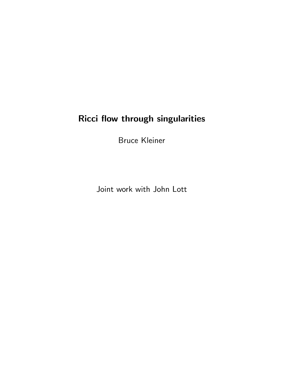# Ricci flow through singularities

Bruce Kleiner

Joint work with John Lott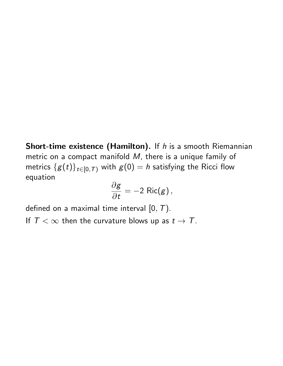Short-time existence (Hamilton). If *h* is a smooth Riemannian metric on a compact manifold *M*, there is a unique family of metrics  ${g(t)}_{t\in[0,T)}$  with  $g(0) = h$  satisfying the Ricci flow equation

$$
\frac{\partial g}{\partial t} = -2 \ {\rm Ric}(g) \, ,
$$

defined on a maximal time interval [0*,T*).

If  $T < \infty$  then the curvature blows up as  $t \to T$ .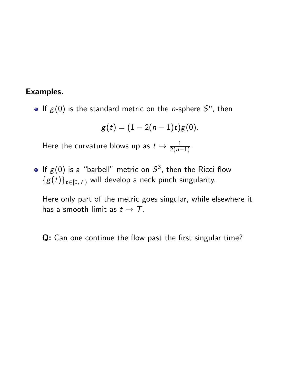### Examples.

• If  $g(0)$  is the standard metric on the *n*-sphere  $S<sup>n</sup>$ , then

$$
g(t) = (1 - 2(n - 1)t)g(0).
$$

Here the curvature blows up as  $t \to \frac{1}{2(n-1)}$ .

• If  $g(0)$  is a "barbell" metric on  $S^3$ , then the Ricci flow  ${g(t)}_{t\in[0,T)}$  will develop a neck pinch singularity.

Here only part of the metric goes singular, while elsewhere it has a smooth limit as  $t \to T$ .

Q: Can one continue the flow past the first singular time?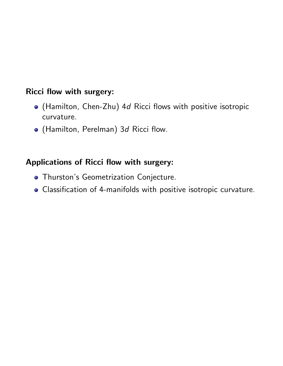### Ricci flow with surgery:

- (Hamilton, Chen-Zhu) 4*d* Ricci flows with positive isotropic curvature.
- (Hamilton, Perelman) 3*d* Ricci flow.

### Applications of Ricci flow with surgery:

- **Thurston's Geometrization Conjecture.**
- Classification of 4-manifolds with positive isotropic curvature.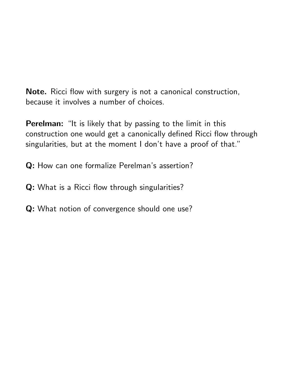Note. Ricci flow with surgery is not a canonical construction, because it involves a number of choices.

Perelman: "It is likely that by passing to the limit in this construction one would get a canonically defined Ricci flow through singularities, but at the moment I don't have a proof of that."

Q: How can one formalize Perelman's assertion?

- Q: What is a Ricci flow through singularities?
- Q: What notion of convergence should one use?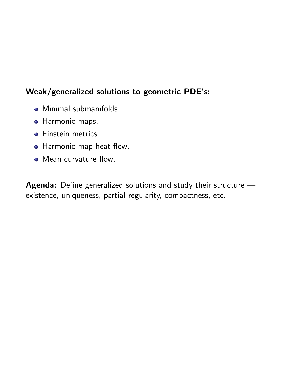### Weak/generalized solutions to geometric PDE's:

- Minimal submanifolds.
- **Harmonic maps.**
- **·** Einstein metrics.
- Harmonic map heat flow.
- Mean curvature flow.

Agenda: Define generalized solutions and study their structure existence, uniqueness, partial regularity, compactness, etc.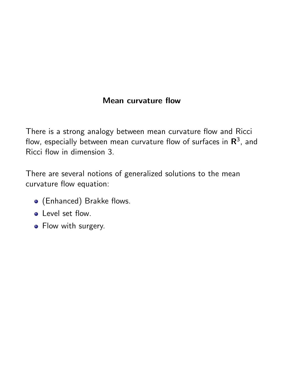### Mean curvature flow

There is a strong analogy between mean curvature flow and Ricci flow, especially between mean curvature flow of surfaces in  $\mathbb{R}^3$ , and Ricci flow in dimension 3.

There are several notions of generalized solutions to the mean curvature flow equation:

- (Enhanced) Brakke flows.
- **C** Level set flow.
- Flow with surgery.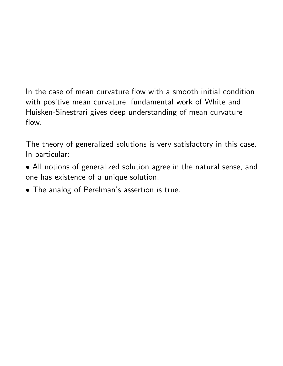# In the case of mean curvature flow with a smooth initial condition with positive mean curvature, fundamental work of White and Huisken-Sinestrari gives deep understanding of mean curvature flow.

The theory of generalized solutions is very satisfactory in this case. In particular:

- *•* All notions of generalized solution agree in the natural sense, and one has existence of a unique solution.
- *•* The analog of Perelman's assertion is true.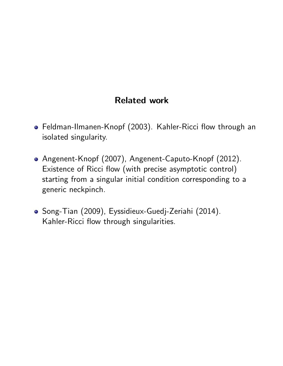# Related work

- Feldman-Ilmanen-Knopf (2003). Kahler-Ricci flow through an isolated singularity.
- Angenent-Knopf (2007), Angenent-Caputo-Knopf (2012). Existence of Ricci flow (with precise asymptotic control) starting from a singular initial condition corresponding to a generic neckpinch.
- Song-Tian (2009), Eyssidieux-Guedj-Zeriahi (2014). Kahler-Ricci flow through singularities.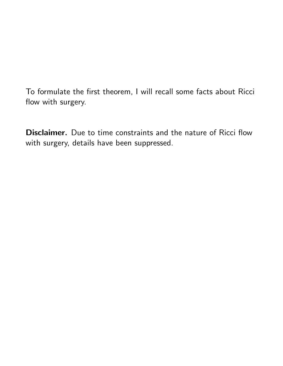To formulate the first theorem, I will recall some facts about Ricci flow with surgery.

Disclaimer. Due to time constraints and the nature of Ricci flow with surgery, details have been suppressed.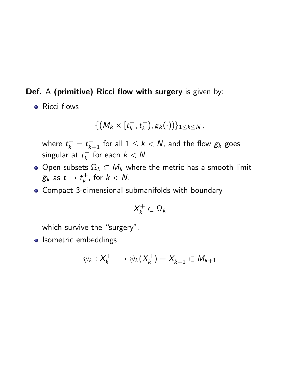#### Def. A (primitive) Ricci flow with surgery is given by:

• Ricci flows

$$
\{ (M_k \times [t_k^-, t_k^+), g_k(\cdot)) \}_{1 \leq k \leq N},
$$

where  $t_{k}^{+} = t_{k+1}^{-}$  for all  $1 \leq k < N$ , and the flow  $g_{k}$  goes  $\mathsf{sing}$ ular at  $t_k^+$  for each  $k < N$ .

- $\bullet$  Open subsets  $\Omega_k \subset M_k$  where the metric has a smooth limit  $\bar{g}_k$  as  $t \to t_k^+$ , for  $k < N$ .
- Compact 3-dimensional submanifolds with boundary

$$
X_k^+\subset \Omega_k
$$

which survive the "surgery".

**o** Isometric embeddings

$$
\psi_k: X_k^+ \longrightarrow \psi_k(X_k^+) = X_{k+1}^- \subset M_{k+1}
$$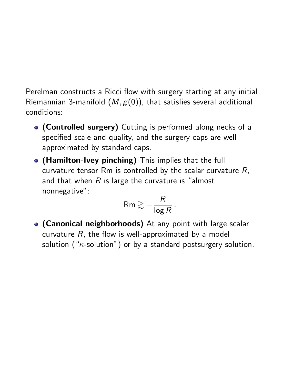Perelman constructs a Ricci flow with surgery starting at any initial Riemannian 3-manifold (*M, g*(0)), that satisfies several additional conditions:

- (Controlled surgery) Cutting is performed along necks of a specified scale and quality, and the surgery caps are well approximated by standard caps.
- (Hamilton-Ivey pinching) This implies that the full curvature tensor Rm is controlled by the scalar curvature *R*, and that when *R* is large the curvature is "almost nonnegative":

$$
\mathsf{Rm} \gtrsim -\frac{R}{\log R} \, .
$$

**• (Canonical neighborhoods)** At any point with large scalar curvature *R*, the flow is well-approximated by a model solution (" $\kappa$ -solution") or by a standard postsurgery solution.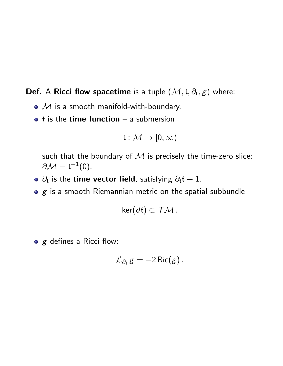### **Def.** A Ricci flow spacetime is a tuple  $(\mathcal{M}, t, \partial_t, g)$  where:

- $M$  is a smooth manifold-with-boundary.
- $\bullet$  t is the time function a submersion

$$
\mathfrak{t}:\mathcal{M}\to [0,\infty)
$$

such that the boundary of  $M$  is precisely the time-zero slice:  $\partial \mathcal{M} = \mathfrak{t}^{-1}(0).$ 

- $\bullet$   $\partial_t$  is the time vector field, satisfying  $\partial_t t \equiv 1$ .
- *g* is a smooth Riemannian metric on the spatial subbundle

$$
\ker(dt)\subset T\mathcal{M},
$$

*g* defines a Ricci flow:

$$
\mathcal{L}_{\partial_{\mathfrak{t}}} g = -2 \operatorname{Ric}(g).
$$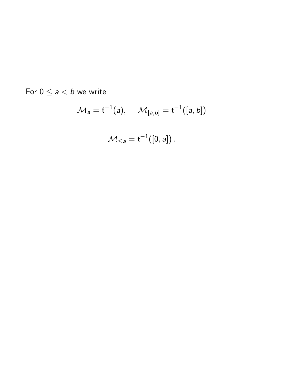For  $0 \le a < b$  we write

$$
\mathcal{M}_a = \mathfrak{t}^{-1}(a), \quad \mathcal{M}_{[a,b]} = \mathfrak{t}^{-1}([a,b])
$$

$$
\mathcal{M}_{\leq a} = \mathfrak{t}^{-1}([0,a]).
$$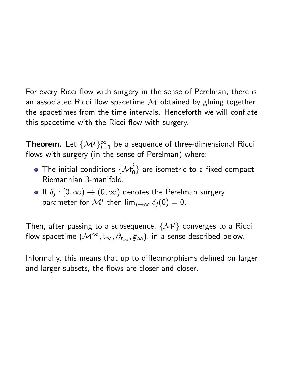For every Ricci flow with surgery in the sense of Perelman, there is an associated Ricci flow spacetime *M* obtained by gluing together the spacetimes from the time intervals. Henceforth we will conflate this spacetime with the Ricci flow with surgery.

**Theorem.** Let  $\{\mathcal{M}^j\}_{j=1}^{\infty}$  be a sequence of three-dimensional Ricci flows with surgery (in the sense of Perelman) where:

- The initial conditions  $\{{\cal M}^j_0\}$  are isometric to a fixed compact Riemannian 3-manifold.
- $\bullet$  If  $\delta_i : [0, \infty) \to (0, \infty)$  denotes the Perelman surgery parameter for  $\mathcal{M}^j$  then  $\lim_{j\to\infty} \delta_j(0) = 0$ .

Then, after passing to a subsequence,  $\{ \mathcal{M}^j \}$  converges to a Ricci flow spacetime  $({\mathcal{M}}^\infty, {\mathfrak{t}}_\infty, \partial_{t_\infty}, g_\infty)$ , in a sense described below.

Informally, this means that up to diffeomorphisms defined on larger and larger subsets, the flows are closer and closer.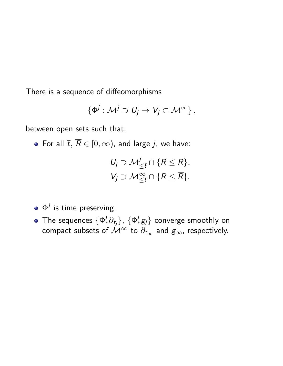There is a sequence of diffeomorphisms

$$
\{\Phi^j:\mathcal{M}^j\supset U_j\to V_j\subset\mathcal{M}^\infty\}\,,
$$

between open sets such that:

• For all  $\overline{t}$ ,  $\overline{R} \in [0, \infty)$ , and large *j*, we have:

$$
U_j \supset \mathcal{M}_{\leq \overline{t}}^j \cap \{R \leq \overline{R}\},
$$
  

$$
V_j \supset \mathcal{M}_{\leq \overline{t}}^{\infty} \cap \{R \leq \overline{R}\}.
$$

- $\bullet$   $\Phi^j$  is time preserving.
- The sequences  $\{\Phi^j_* \partial_{t_j}\}$ ,  $\{\Phi^j_* g_j\}$  converge smoothly on compact subsets of  $\mathcal{M}^\infty$  to  $\partial_{t_\infty}$  and  $g_\infty$ , respectively.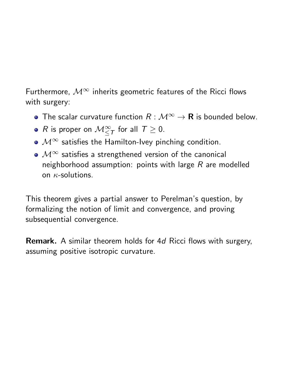Furthermore,  $\mathcal{M}^{\infty}$  inherits geometric features of the Ricci flows with surgery:

- The scalar curvature function  $R : \mathcal{M}^{\infty} \to \mathbf{R}$  is bounded below.
- *R* is proper on  $\mathcal{M}^{\infty}_{\leq \mathcal{T}}$  for all  $\mathcal{T} \geq 0$ .
- $\bullet$   $\mathcal{M}^{\infty}$  satisfies the Hamilton-Ivey pinching condition.
- $\bullet$   $\mathcal{M}^{\infty}$  satisfies a strengthened version of the canonical neighborhood assumption: points with large *R* are modelled on  $\kappa$ -solutions.

This theorem gives a partial answer to Perelman's question, by formalizing the notion of limit and convergence, and proving subsequential convergence.

Remark. A similar theorem holds for 4*d* Ricci flows with surgery, assuming positive isotropic curvature.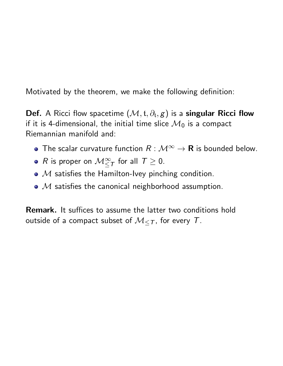Motivated by the theorem, we make the following definition:

**Def.** A Ricci flow spacetime  $(\mathcal{M}, t, \partial_t, g)$  is a singular Ricci flow if it is 4-dimensional, the initial time slice  $\mathcal{M}_0$  is a compact Riemannian manifold and:

- The scalar curvature function  $R : \mathcal{M}^{\infty} \to \mathbf{R}$  is bounded below.
- *R* is proper on  $\mathcal{M}^{\infty}_{\leq \mathcal{T}}$  for all  $\mathcal{T} \geq 0$ .
- M satisfies the Hamilton-Ivey pinching condition.
- M satisfies the canonical neighborhood assumption.

Remark. It suffices to assume the latter two conditions hold outside of a compact subset of  $M_{\leq T}$ , for every T.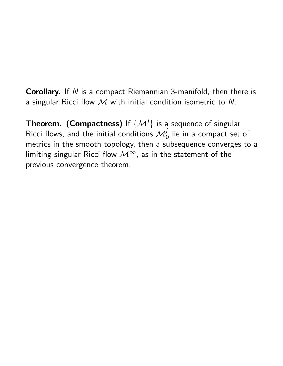Corollary. If *N* is a compact Riemannian 3-manifold, then there is a singular Ricci flow *M* with initial condition isometric to *N*.

**Theorem. (Compactness)** If  $\{M^{j}\}$  is a sequence of singular Ricci flows, and the initial conditions  $\mathcal{M}_{0}^{j}$  lie in a compact set of metrics in the smooth topology, then a subsequence converges to a limiting singular Ricci flow  $\mathcal{M}^{\infty}$ , as in the statement of the previous convergence theorem.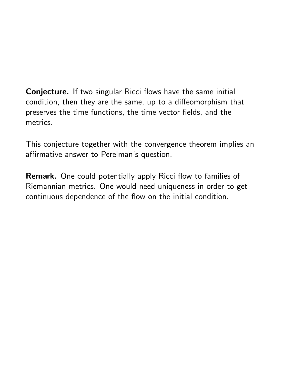Conjecture. If two singular Ricci flows have the same initial condition, then they are the same, up to a diffeomorphism that preserves the time functions, the time vector fields, and the metrics.

This conjecture together with the convergence theorem implies an affirmative answer to Perelman's question.

Remark. One could potentially apply Ricci flow to families of Riemannian metrics. One would need uniqueness in order to get continuous dependence of the flow on the initial condition.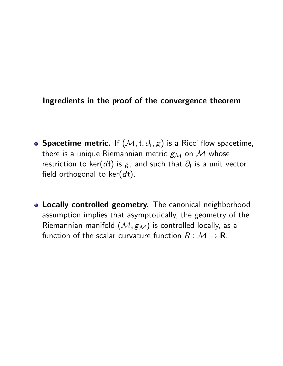### Ingredients in the proof of the convergence theorem

- **Spacetime metric.** If  $(\mathcal{M}, \mathfrak{t}, \partial_{\mathfrak{t}}, g)$  is a Ricci flow spacetime, there is a unique Riemannian metric  $g_{\mathcal{M}}$  on  $\mathcal M$  whose restriction to ker( $d$ t) is  $g$ , and such that  $\partial_t$  is a unit vector field orthogonal to ker(*d*t).
- **Locally controlled geometry.** The canonical neighborhood assumption implies that asymptotically, the geometry of the Riemannian manifold  $(M, g_M)$  is controlled locally, as a function of the scalar curvature function  $R : \mathcal{M} \to \mathbf{R}$ .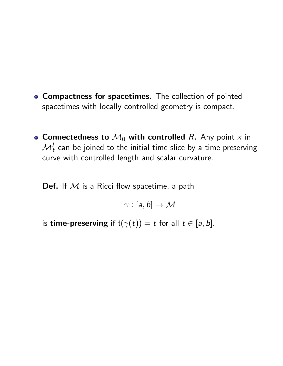- **Compactness for spacetimes.** The collection of pointed spacetimes with locally controlled geometry is compact.
- Connectedness to  $\mathcal{M}_0$  with controlled *R*. Any point *x* in  $\boldsymbol{\mathcal{M}}_t^j$  can be joined to the initial time slice by a time preserving curve with controlled length and scalar curvature.

Def. If *M* is a Ricci flow spacetime, a path

 $\gamma : [a, b] \rightarrow \mathcal{M}$ 

is **time-preserving** if  $t(\gamma(t)) = t$  for all  $t \in [a, b]$ .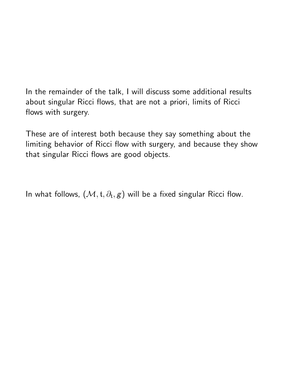In the remainder of the talk, I will discuss some additional results about singular Ricci flows, that are not a priori, limits of Ricci flows with surgery.

These are of interest both because they say something about the limiting behavior of Ricci flow with surgery, and because they show that singular Ricci flows are good objects.

In what follows,  $(M, t, \partial_t, g)$  will be a fixed singular Ricci flow.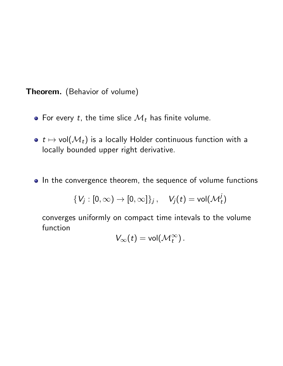Theorem. (Behavior of volume)

- For every *t*, the time slice  $\mathcal{M}_t$  has finite volume.
- $\bullet$   $t \mapsto$  vol $(\mathcal{M}_t)$  is a locally Holder continuous function with a locally bounded upper right derivative.
- In the convergence theorem, the sequence of volume functions

$$
\{V_j:[0,\infty)\to[0,\infty]\}_j\,,\quad V_j(t)={\sf vol}({\mathcal M}^j_t)
$$

converges uniformly on compact time intevals to the volume function

$$
V_{\infty}(t) = \text{vol}(\mathcal{M}_t^{\infty}).
$$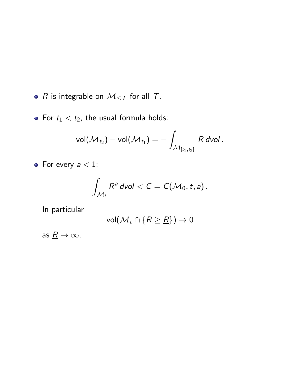•  $R$  is integrable on  $M_{\leq T}$  for all  $T$ .

• For  $t_1 < t_2$ , the usual formula holds:

$$
\text{vol}(\mathcal{M}_{t_2})-\text{vol}(\mathcal{M}_{t_1})=-\int_{\mathcal{M}_{[t_1,t_2]}}R \text{ dvol }.
$$

• For every  $a < 1$ :

$$
\int_{\mathcal{M}_t} R^a \, dvol < C = C(\mathcal{M}_0, t, a).
$$

In particular

$$
\text{vol}(\mathcal{M}_t \cap \{R \geq \underline{R}\}) \to 0
$$

as  $\underline{R} \to \infty$ .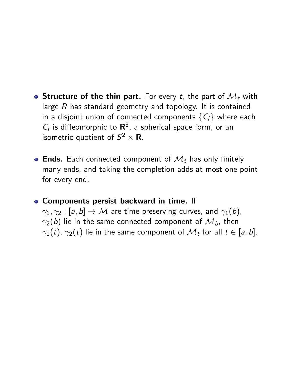- **Structure of the thin part.** For every *t*, the part of  $\mathcal{M}_t$  with large *R* has standard geometry and topology. It is contained in a disjoint union of connected components  ${C_i}$  where each  $C_i$  is diffeomorphic to  $\mathbb{R}^3$ , a spherical space form, or an isometric quotient of  $S^2 \times \mathbf{R}$ .
- **Ends.** Each connected component of  $\mathcal{M}_t$  has only finitely many ends, and taking the completion adds at most one point for every end.
- Components persist backward in time. If  $\gamma_1, \gamma_2 : [a, b] \rightarrow \mathcal{M}$  are time preserving curves, and  $\gamma_1(b)$ ,  $\gamma_2(b)$  lie in the same connected component of  $\mathcal{M}_b$ , then  $\gamma_1(t)$ ,  $\gamma_2(t)$  lie in the same component of  $\mathcal{M}_t$  for all  $t \in [a, b]$ .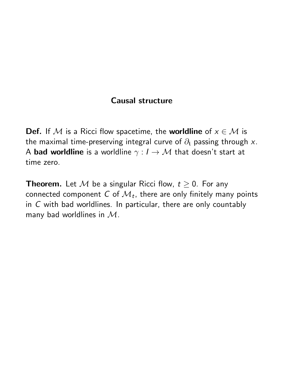### Causal structure

**Def.** If M is a Ricci flow spacetime, the **worldline** of  $x \in M$  is the maximal time-preserving integral curve of  $\partial_t$  passing through x. A **bad worldline** is a worldline  $\gamma : I \rightarrow M$  that doesn't start at time zero.

**Theorem.** Let M be a singular Ricci flow,  $t \geq 0$ . For any connected component  $C$  of  $\mathcal{M}_t$ , there are only finitely many points in *C* with bad worldlines. In particular, there are only countably many bad worldlines in *M*.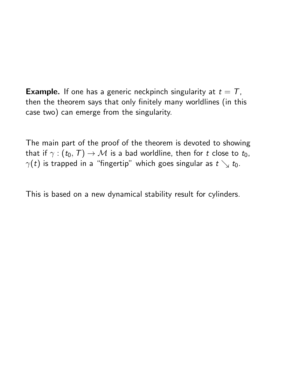**Example.** If one has a generic neckpinch singularity at  $t = T$ , then the theorem says that only finitely many worldlines (in this case two) can emerge from the singularity.

The main part of the proof of the theorem is devoted to showing that if  $\gamma$  :  $(t_0, T) \rightarrow M$  is a bad worldline, then for *t* close to  $t_0$ ,  $\gamma(t)$  is trapped in a "fingertip" which goes singular as  $t \searrow t_0$ .

This is based on a new dynamical stability result for cylinders.